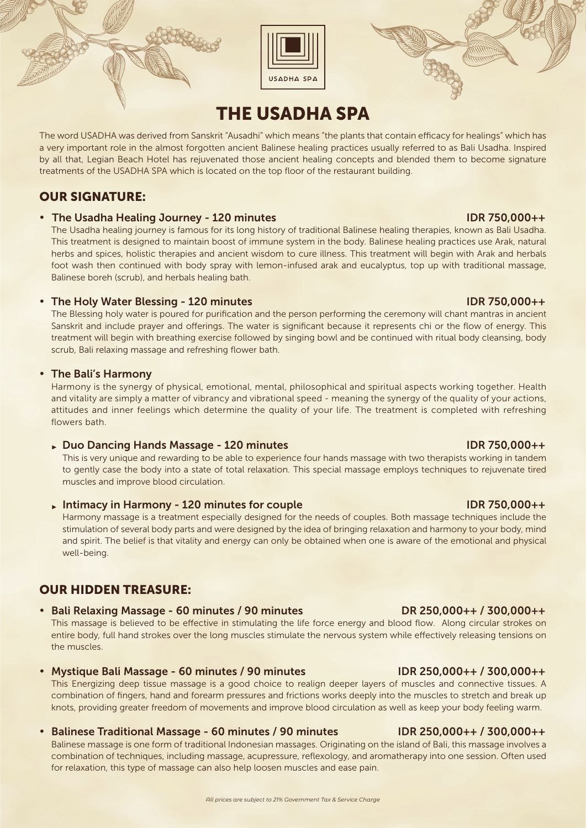



# THE USADHA SPA

The word USADHA was derived from Sanskrit "Ausadhi" which means "the plants that contain efficacy for healings" which has a very important role in the almost forgotten ancient Balinese healing practices usually referred to as Bali Usadha. Inspired by all that, Legian Beach Hotel has rejuvenated those ancient healing concepts and blended them to become signature treatments of the USADHA SPA which is located on the top floor of the restaurant building.

# OUR SIGNATURE:

## • The Usadha Healing Journey - 120 minutes IDR 750,000++

The Usadha healing journey is famous for its long history of traditional Balinese healing therapies, known as Bali Usadha. This treatment is designed to maintain boost of immune system in the body. Balinese healing practices use Arak, natural herbs and spices, holistic therapies and ancient wisdom to cure illness. This treatment will begin with Arak and herbals foot wash then continued with body spray with lemon-infused arak and eucalyptus, top up with traditional massage, Balinese boreh (scrub), and herbals healing bath.

# • The Holy Water Blessing - 120 minutes **IDR 750,000++**

The Blessing holy water is poured for purification and the person performing the ceremony will chant mantras in ancient Sanskrit and include prayer and offerings. The water is significant because it represents chi or the flow of energy. This treatment will begin with breathing exercise followed by singing bowl and be continued with ritual body cleansing, body scrub, Bali relaxing massage and refreshing flower bath.

# • The Bali's Harmony

Harmony is the synergy of physical, emotional, mental, philosophical and spiritual aspects working together. Health and vitality are simply a matter of vibrancy and vibrational speed - meaning the synergy of the quality of your actions, attitudes and inner feelings which determine the quality of your life. The treatment is completed with refreshing flowers bath.

# ► Duo Dancing Hands Massage - 120 minutes IDR 750,000++

 This is very unique and rewarding to be able to experience four hands massage with two therapists working in tandem to gently case the body into a state of total relaxation. This special massage employs techniques to rejuvenate tired muscles and improve blood circulation.

# Intimacy in Harmony - 120 minutes for couple IDR 750,000++

 Harmony massage is a treatment especially designed for the needs of couples. Both massage techniques include the stimulation of several body parts and were designed by the idea of bringing relaxation and harmony to your body, mind and spirit. The belief is that vitality and energy can only be obtained when one is aware of the emotional and physical well-being.

# OUR HIDDEN TREASURE:

• Bali Relaxing Massage - 60 minutes / 90 minutes DR 250,000++ / 300,000++

This massage is believed to be effective in stimulating the life force energy and blood flow. Along circular strokes on

entire body, full hand strokes over the long muscles stimulate the nervous system while effectively releasing tensions on the muscles.

## • Mystique Bali Massage - 60 minutes / 90 minutes IDR 250,000++ / 300,000++

This Energizing deep tissue massage is a good choice to realign deeper layers of muscles and connective tissues. A combination of fingers, hand and forearm pressures and frictions works deeply into the muscles to stretch and break up knots, providing greater freedom of movements and improve blood circulation as well as keep your body feeling warm.

## • Balinese Traditional Massage - 60 minutes / 90 minutes IDR 250,000++ / 300,000++

Balinese massage is one form of traditional Indonesian massages. Originating on the island of Bali, this massage involves a combination of techniques, including massage, acupressure, reflexology, and aromatherapy into one session. Often used for relaxation, this type of massage can also help loosen muscles and ease pain.